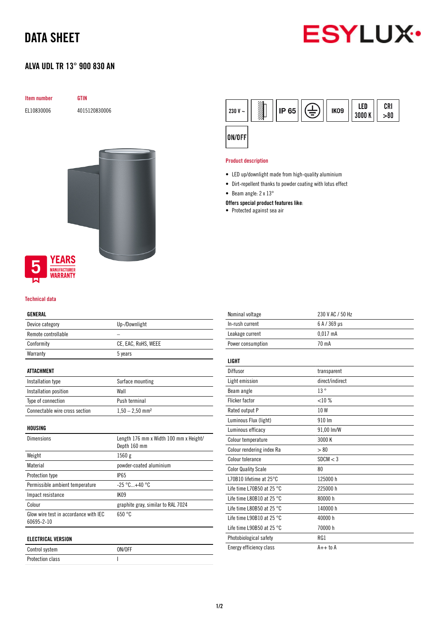# DATA SHEET

# **ESYLUX·**

## ALVA UDL TR 13° 900 830 AN

| Item number                                                 | <b>GTIN</b>   |
|-------------------------------------------------------------|---------------|
| EL10830006                                                  | 4015120830006 |
|                                                             |               |
|                                                             |               |
|                                                             |               |
|                                                             |               |
|                                                             |               |
| <b>YEARS</b><br>5<br><b>MANUFACTURER</b><br><b>WARRANTY</b> |               |

#### Technical data

#### GENERAL

| Device category                                     | Up-/Downlight                                          |
|-----------------------------------------------------|--------------------------------------------------------|
| Remote controllable                                 |                                                        |
| Conformity                                          | CE, EAC, RoHS, WEEE                                    |
| Warranty                                            | 5 years                                                |
| ATTACHMENT                                          |                                                        |
| Installation type                                   | Surface mounting                                       |
| Installation position                               | Wall                                                   |
| Type of connection                                  | Push terminal                                          |
| Connectable wire cross section                      | $1,50 - 2,50$ mm <sup>2</sup>                          |
| HOUSING                                             |                                                        |
| <b>Dimensions</b>                                   | Length 176 mm x Width 100 mm x Height/<br>Depth 160 mm |
| Weight                                              | 1560 g                                                 |
| Material                                            | powder-coated aluminium                                |
| Protection type                                     | <b>IP65</b>                                            |
| Permissible ambient temperature                     | $-25 °C+40 °C$                                         |
| Impact resistance                                   | <b>IK09</b>                                            |
| Colour                                              | graphite gray, similar to RAL 7024                     |
| Glow wire test in accordance with IEC<br>60695-2-10 | 650 °C                                                 |
| <b>ELECTRICAL VERSION</b>                           |                                                        |
| Control system                                      |                                                        |

Protection class and a set of the set of the set of the set of the set of the set of the set of the set of the set of the set of the set of the set of the set of the set of the set of the set of the set of the set of the s



#### Product description

- LED up/downlight made from high-quality aluminium
- Dirt-repellent thanks to powder coating with lotus effect
- Beam angle: 2 x 13°

#### Offers special product features like:

• Protected against sea air

| Nominal voltage                     | 230 V AC / 50 Hz |
|-------------------------------------|------------------|
| In-rush current                     | 6 A / 369 µs     |
| Leakage current                     | $0.017$ mA       |
| Power consumption                   | 70 mA            |
| LIGHT                               |                  |
| Diffusor                            | transparent      |
| Light emission                      | direct/indirect  |
| Beam angle                          | 13°              |
| <b>Flicker factor</b>               | $< 10\%$         |
| Rated output P                      | 10W              |
| Luminous Flux (light)               | 910 Im           |
| Luminous efficacy                   | 91,00 lm/W       |
| Colour temperature                  | 3000 K           |
| Colour rendering index Ra           | > 80             |
| Colour tolerance                    | SDCM < 3         |
| <b>Color Quality Scale</b>          | 80               |
| L70B10 lifetime at 25°C             | 125000 h         |
| Life time L70B50 at 25 $^{\circ}$ C | 225000 h         |
| Life time L80B10 at 25 $^{\circ}$ C | 80000 h          |
| Life time L80B50 at 25 $^{\circ}$ C | 140000 h         |
| Life time L90B10 at 25 $^{\circ}$ C | 40000 h          |
| Life time L90B50 at 25 $^{\circ}$ C | 70000 h          |
| Photobiological safety              | RG1              |
| Energy efficiency class             | $A++$ to $A$     |
|                                     |                  |